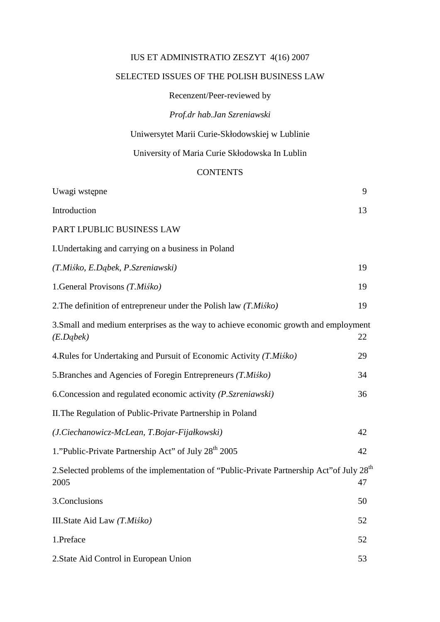## IUS ET ADMINISTRATIO ZESZYT 4(16) 2007

## SELECTED ISSUES OF THE POLISH BUSINESS LAW

Recenzent/Peer-reviewed by

*Prof.dr hab.Jan Szreniawski* 

Uniwersytet Marii Curie-Skłodowskiej w Lublinie

University of Maria Curie Skłodowska In Lublin

## **CONTENTS**

| Uwagi wstępne                                                                                                   | 9  |
|-----------------------------------------------------------------------------------------------------------------|----|
| Introduction                                                                                                    | 13 |
| PART I.PUBLIC BUSINESS LAW                                                                                      |    |
| I. Undertaking and carrying on a business in Poland                                                             |    |
| (T.Miśko, E.Dąbek, P.Szreniawski)                                                                               | 19 |
| 1.General Provisons (T.Miśko)                                                                                   | 19 |
| 2. The definition of entrepreneur under the Polish law $(T.Mi\&o)$                                              | 19 |
| 3. Small and medium enterprises as the way to achieve economic growth and employment<br>(E.Dqbek)               | 22 |
| 4. Rules for Undertaking and Pursuit of Economic Activity (T. Miśko)                                            | 29 |
| 5. Branches and Agencies of Foregin Entrepreneurs (T. Misko)                                                    | 34 |
| 6. Concession and regulated economic activity (P. Szreniawski)                                                  | 36 |
| II. The Regulation of Public-Private Partnership in Poland                                                      |    |
| (J.Ciechanowicz-McLean, T.Bojar-Fijałkowski)                                                                    | 42 |
| 1."Public-Private Partnership Act" of July 28 <sup>th</sup> 2005                                                | 42 |
| 2. Selected problems of the implementation of "Public-Private Partnership Act" of July 28 <sup>th</sup><br>2005 | 47 |
| 3. Conclusions                                                                                                  | 50 |
| III.State Aid Law (T.Miśko)                                                                                     | 52 |
| 1.Preface                                                                                                       | 52 |
| 2. State Aid Control in European Union                                                                          | 53 |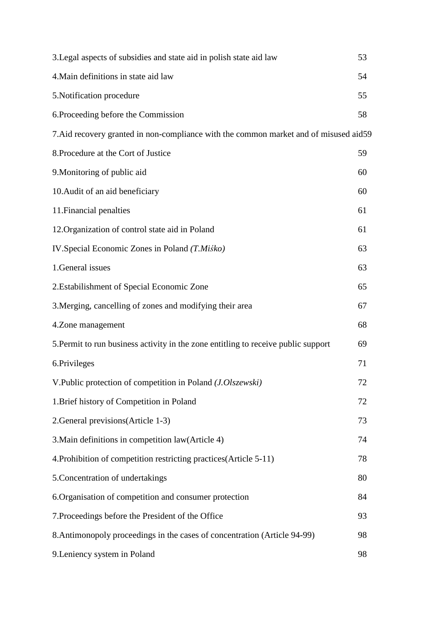| 3. Legal aspects of subsidies and state aid in polish state aid law                   | 53 |
|---------------------------------------------------------------------------------------|----|
| 4. Main definitions in state aid law                                                  | 54 |
| 5. Notification procedure                                                             | 55 |
| 6. Proceeding before the Commission                                                   | 58 |
| 7. Aid recovery granted in non-compliance with the common market and of misused aid59 |    |
| 8. Procedure at the Cort of Justice                                                   | 59 |
| 9. Monitoring of public aid                                                           | 60 |
| 10. Audit of an aid beneficiary                                                       | 60 |
| 11. Financial penalties                                                               | 61 |
| 12. Organization of control state aid in Poland                                       | 61 |
| IV. Special Economic Zones in Poland (T. Miśko)                                       | 63 |
| 1. General issues                                                                     | 63 |
| 2. Estabilishment of Special Economic Zone                                            | 65 |
| 3. Merging, cancelling of zones and modifying their area                              | 67 |
| 4.Zone management                                                                     | 68 |
| 5. Permit to run business activity in the zone entitling to receive public support    | 69 |
| 6.Privileges                                                                          | 71 |
| V.Public protection of competition in Poland (J.Olszewski)                            | 72 |
| 1. Brief history of Competition in Poland                                             | 72 |
| 2. General previsions (Article 1-3)                                                   | 73 |
| 3. Main definitions in competition law (Article 4)                                    | 74 |
| 4. Prohibition of competition restricting practices (Article 5-11)                    | 78 |
| 5. Concentration of undertakings                                                      | 80 |
| 6. Organisation of competition and consumer protection                                | 84 |
| 7. Proceedings before the President of the Office                                     | 93 |
| 8. Antimonopoly proceedings in the cases of concentration (Article 94-99)             | 98 |
| 9. Leniency system in Poland                                                          | 98 |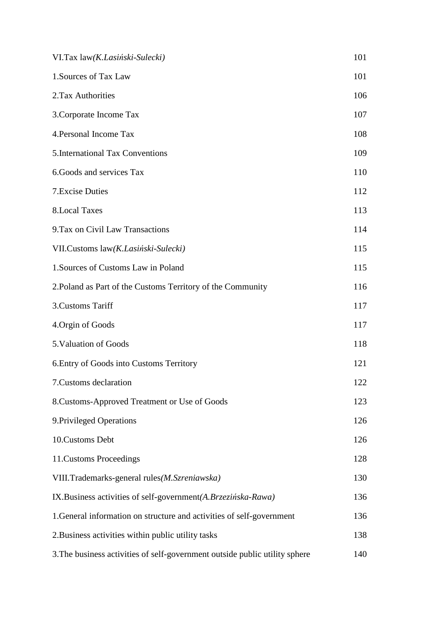| VI.Tax law(K.Lasiński-Sulecki)                                              | 101 |
|-----------------------------------------------------------------------------|-----|
| 1. Sources of Tax Law                                                       | 101 |
| 2.Tax Authorities                                                           | 106 |
| 3. Corporate Income Tax                                                     | 107 |
| 4. Personal Income Tax                                                      | 108 |
| 5. International Tax Conventions                                            | 109 |
| 6. Goods and services Tax                                                   | 110 |
| 7. Excise Duties                                                            | 112 |
| <b>8.Local Taxes</b>                                                        | 113 |
| 9. Tax on Civil Law Transactions                                            | 114 |
| VII.Customs law(K.Lasiński-Sulecki)                                         | 115 |
| 1. Sources of Customs Law in Poland                                         | 115 |
| 2. Poland as Part of the Customs Territory of the Community                 | 116 |
| 3. Customs Tariff                                                           | 117 |
| 4. Orgin of Goods                                                           | 117 |
| 5. Valuation of Goods                                                       | 118 |
| 6. Entry of Goods into Customs Territory                                    | 121 |
| 7. Customs declaration                                                      | 122 |
| 8. Customs-Approved Treatment or Use of Goods                               | 123 |
| 9. Privileged Operations                                                    | 126 |
| 10. Customs Debt                                                            | 126 |
| 11. Customs Proceedings                                                     | 128 |
| VIII.Trademarks-general rules(M.Szreniawska)                                | 130 |
| IX.Business activities of self-government(A.Brzezińska-Rawa)                | 136 |
| 1. General information on structure and activities of self-government       | 136 |
| 2. Business activities within public utility tasks                          | 138 |
| 3. The business activities of self-government outside public utility sphere | 140 |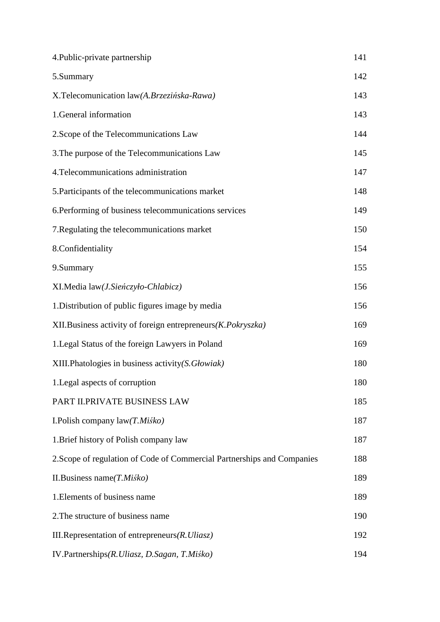| 4. Public-private partnership                                           | 141 |
|-------------------------------------------------------------------------|-----|
| 5.Summary                                                               | 142 |
| X.Telecomunication law(A.Brzezińska-Rawa)                               | 143 |
| 1.General information                                                   | 143 |
| 2. Scope of the Telecommunications Law                                  | 144 |
| 3. The purpose of the Telecommunications Law                            | 145 |
| 4. Telecommunications administration                                    | 147 |
| 5. Participants of the telecommunications market                        | 148 |
| 6. Performing of business telecommunications services                   | 149 |
| 7. Regulating the telecommunications market                             | 150 |
| 8.Confidentiality                                                       | 154 |
| 9.Summary                                                               | 155 |
| XI.Media law(J.Sieńczyło-Chlabicz)                                      | 156 |
| 1. Distribution of public figures image by media                        | 156 |
| XII. Business activity of foreign entrepreneurs (K. Pokryszka)          | 169 |
| 1. Legal Status of the foreign Lawyers in Poland                        | 169 |
| XIII.Phatologies in business activity(S. Głowiak)                       | 180 |
| 1. Legal aspects of corruption                                          | 180 |
| PART II.PRIVATE BUSINESS LAW                                            | 185 |
| I. Polish company $law(T.Mi\dot{s}ko)$                                  | 187 |
| 1. Brief history of Polish company law                                  | 187 |
| 2. Scope of regulation of Code of Commercial Partnerships and Companies | 188 |
| II. Business name $(T.Mi\&o)$                                           | 189 |
| 1. Elements of business name                                            | 189 |
| 2. The structure of business name                                       | 190 |
| III. Representation of entrepreneurs $(R. Ulias z)$                     | 192 |
| IV.Partnerships(R.Uliasz, D.Sagan, T.Miśko)                             | 194 |